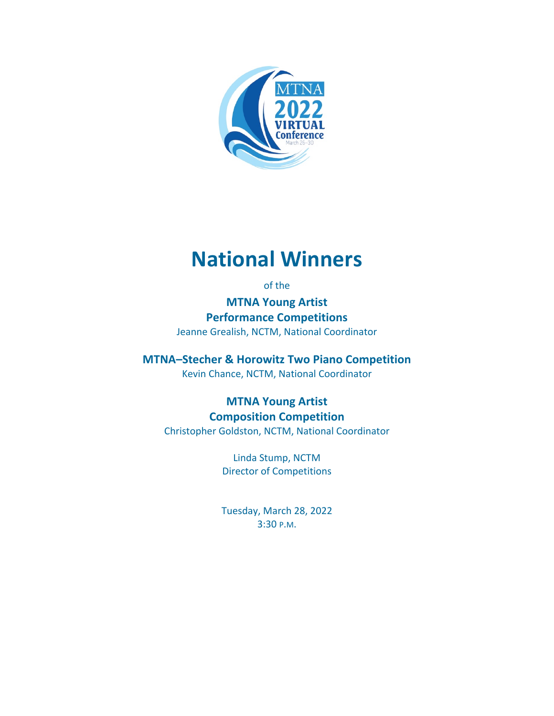

# **National Winners**

### of the

**MTNA Young Artist Performance Competitions** Jeanne Grealish, NCTM, National Coordinator

**MTNA–Stecher & Horowitz Two Piano Competition**

Kevin Chance, NCTM, National Coordinator

## **MTNA Young Artist Composition Competition** Christopher Goldston, NCTM, National Coordinator

Linda Stump, NCTM Director of Competitions

Tuesday, March 28, 2022 3:30 P.M.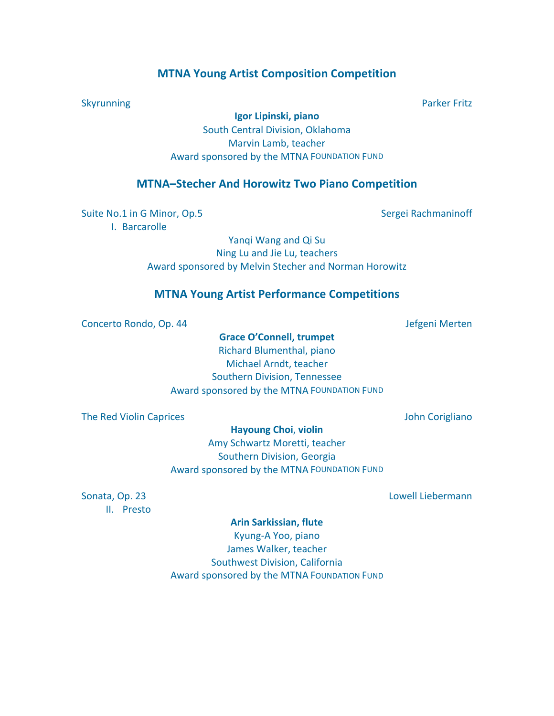### **MTNA Young Artist Composition Competition**

**Igor Lipinski, piano**

South Central Division, Oklahoma Marvin Lamb, teacher Award sponsored by the MTNA FOUNDATION FUND

### **MTNA–Stecher And Horowitz Two Piano Competition**

Suite No.1 in G Minor, Op.5 Sergei Rachmaninoff

I. Barcarolle

Yanqi Wang and Qi Su Ning Lu and Jie Lu, teachers Award sponsored by Melvin Stecher and Norman Horowitz

### **MTNA Young Artist Performance Competitions**

Concerto Rondo, Op. 44 Jefgeni Merten

**Grace O'Connell, trumpet**

Richard Blumenthal, piano Michael Arndt, teacher Southern Division, Tennessee Award sponsored by the MTNA FOUNDATION FUND

The Red Violin Caprices **The Red Violin Caprices** John Corigliano

**Hayoung Choi**, **violin**

Amy Schwartz Moretti, teacher Southern Division, Georgia Award sponsored by the MTNA FOUNDATION FUND

II. Presto

Sonata, Op. 23 Lowell Liebermann

# **Arin Sarkissian, flute**

Kyung-A Yoo, piano James Walker, teacher Southwest Division, California Award sponsored by the MTNA FOUNDATION FUND

Skyrunning **Parker Fritz**